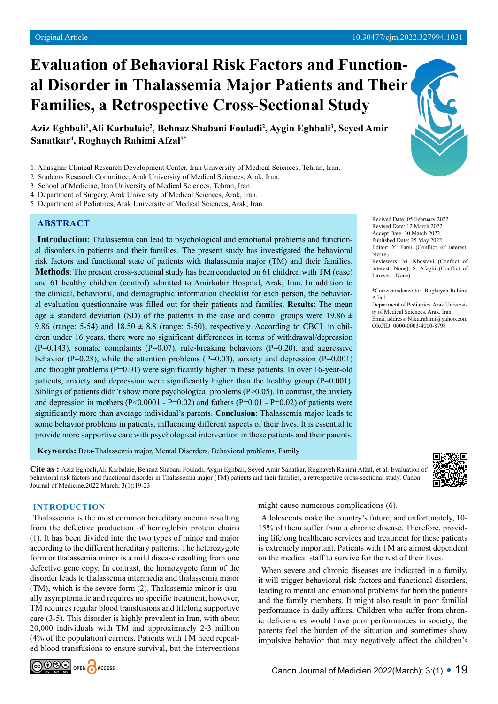# **Evaluation of Behavioral Risk Factors and Functional Disorder in Thalassemia Major Patients and Their Families, a Retrospective Cross-Sectional Study**

Aziz Eghbali<sup>1</sup>,Ali Karbalaie<sup>2</sup>, Behnaz Shabani Fouladi<sup>2</sup>, Aygin Eghbali<sup>3</sup>, Seyed Amir **Sanatkar4 , Roghayeh Rahimi Afzal5\***

2. Students Research Committee, Arak University of Medical Sciences, Arak, Iran.

- 4. Department of Surgery, Arak University of Medical Sciences, Arak, Iran.
- 5. Department of Pediatrics, Arak University of Medical Sciences, Arak, Iran.

# **ABSTRACT**

**Introduction**: Thalassemia can lead to psychological and emotional problems and functional disorders in patients and their families. The present study has investigated the behavioral risk factors and functional state of patients with thalassemia major (TM) and their families. **Methods**: The present cross-sectional study has been conducted on 61 children with TM (case) and 61 healthy children (control) admitted to Amirkabir Hospital, Arak, Iran. In addition to the clinical, behavioral, and demographic information checklist for each person, the behavioral evaluation questionnaire was filled out for their patients and families. **Results**: The mean age  $\pm$  standard deviation (SD) of the patients in the case and control groups were 19.86  $\pm$ 9.86 (range: 5-54) and  $18.50 \pm 8.8$  (range: 5-50), respectively. According to CBCL in children under 16 years, there were no significant differences in terms of withdrawal/depression  $(P=0.143)$ , somatic complaints  $(P=0.07)$ , rule-breaking behaviors  $(P=0.20)$ , and aggressive behavior ( $P=0.28$ ), while the attention problems ( $P=0.03$ ), anxiety and depression ( $P=0.001$ ) and thought problems  $(P=0.01)$  were significantly higher in these patients. In over 16-year-old patients, anxiety and depression were significantly higher than the healthy group  $(P=0.001)$ . Siblings of patients didn't show more psychological problems  $(P>0.05)$ . In contrast, the anxiety and depression in mothers (P<0.0001 - P=0.02) and fathers (P=0.01 - P=0.02) of patients were significantly more than average individual's parents. **Conclusion**: Thalassemia major leads to some behavior problems in patients, influencing different aspects of their lives. It is essential to provide more supportive care with psychological intervention in these patients and their parents.

**Keywords:** Beta-Thalassemia major, Mental Disorders, Behavioral problems, Family

**Cite as :** Aziz Eghbali,Ali Karbalaie, Behnaz Shabani Fouladi, Aygin Eghbali, Seyed Amir Sanatkar, Roghayeh Rahimi Afzal, et al. Evaluation of behavioral risk factors and functional disorder in Thalassemia major (TM) patients and their families, a retrospective cross-sectional study. Canon Journal of Medicine.2022 March; 3(1):19-23

## **INTRODUCTION**

Thalassemia is the most common hereditary anemia resulting from the defective production of hemoglobin protein chains (1). It has been divided into the two types of minor and major according to the different hereditary patterns. The heterozygote form or thalassemia minor is a mild disease resulting from one defective gene copy. In contrast, the homozygote form of the disorder leads to thalassemia intermedia and thalassemia major (TM), which is the severe form (2). Thalassemia minor is usually asymptomatic and requires no specific treatment; however, TM requires regular blood transfusions and lifelong supportive care (3-5). This disorder is highly prevalent in Iran, with about 20,000 individuals with TM and approximately 2-3 million (4% of the population) carriers. Patients with TM need repeated blood transfusions to ensure survival, but the interventions



might cause numerous complications (6).

Adolescents make the country's future, and unfortunately, 10- 15% of them suffer from a chronic disease. Therefore, providing lifelong healthcare services and treatment for these patients is extremely important. Patients with TM are almost dependent on the medical staff to survive for the rest of their lives.

When severe and chronic diseases are indicated in a family, it will trigger behavioral risk factors and functional disorders, leading to mental and emotional problems for both the patients and the family members. It might also result in poor familial performance in daily affairs. Children who suffer from chronic deficiencies would have poor performances in society; the parents feel the burden of the situation and sometimes show impulsive behavior that may negatively affect the children's

Recived Date: 05 February 2022 Revised Date: 12 March 2022 Accept Date: 30 March 2022 Published Date: 25 May 2022 Editor: Y. Farsi (Conflict of interest: None) Reviewers: M. Khosravi (Conflict of interest: None), S. Afaghi (Conflict of Intrests: None)

\*Correspondence to: Roghayeh Rahimi Afzal Department of Pediatrics, Arak University of Medical Sciences, Arak, Iran.

Email address: Niku.rahimi@yahoo.com ORCID: 0000-0003-4000-8798



<sup>1.</sup> Aliasghar Clinical Research Development Center, Iran University of Medical Sciences, Tehran, Iran.

<sup>3.</sup> School of Medicine, Iran University of Medical Sciences, Tehran, Iran.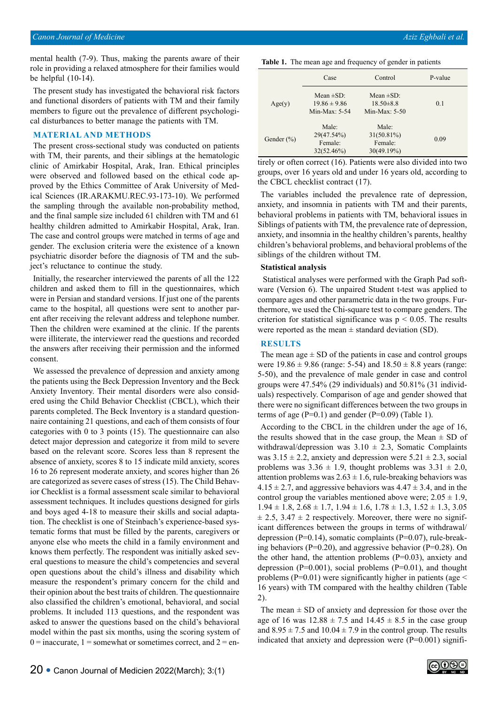mental health (7-9). Thus, making the parents aware of their role in providing a relaxed atmosphere for their families would be helpful (10-14).

The present study has investigated the behavioral risk factors and functional disorders of patients with TM and their family members to figure out the prevalence of different psychological disturbances to better manage the patients with TM.

#### **MATERIAL AND METHODS**

The present cross-sectional study was conducted on patients with TM, their parents, and their siblings at the hematologic clinic of Amirkabir Hospital, Arak, Iran. Ethical principles were observed and followed based on the ethical code approved by the Ethics Committee of Arak University of Medical Sciences (IR.ARAKMU.REC.93-173-10). We performed the sampling through the available non-probability method, and the final sample size included 61 children with TM and 61 healthy children admitted to Amirkabir Hospital, Arak, Iran. The case and control groups were matched in terms of age and gender. The exclusion criteria were the existence of a known psychiatric disorder before the diagnosis of TM and the subject's reluctance to continue the study.

Initially, the researcher interviewed the parents of all the 122 children and asked them to fill in the questionnaires, which were in Persian and standard versions. If just one of the parents came to the hospital, all questions were sent to another parent after receiving the relevant address and telephone number. Then the children were examined at the clinic. If the parents were illiterate, the interviewer read the questions and recorded the answers after receiving their permission and the informed consent.

We assessed the prevalence of depression and anxiety among the patients using the Beck Depression Inventory and the Beck Anxiety Inventory. Their mental disorders were also considered using the Child Behavior Checklist (CBCL), which their parents completed. The Beck Inventory is a standard questionnaire containing 21 questions, and each of them consists of four categories with 0 to 3 points (15). The questionnaire can also detect major depression and categorize it from mild to severe based on the relevant score. Scores less than 8 represent the absence of anxiety, scores 8 to 15 indicate mild anxiety, scores 16 to 26 represent moderate anxiety, and scores higher than 26 are categorized as severe cases of stress (15). The Child Behavior Checklist is a formal assessment scale similar to behavioral assessment techniques. It includes questions designed for girls and boys aged 4-18 to measure their skills and social adaptation. The checklist is one of Steinbach's experience-based systematic forms that must be filled by the parents, caregivers or anyone else who meets the child in a family environment and knows them perfectly. The respondent was initially asked several questions to measure the child's competencies and several open questions about the child's illness and disability which measure the respondent's primary concern for the child and their opinion about the best traits of children. The questionnaire also classified the children's emotional, behavioral, and social problems. It included 113 questions, and the respondent was asked to answer the questions based on the child's behavioral model within the past six months, using the scoring system of  $0 =$  inaccurate,  $1 =$  somewhat or sometimes correct, and  $2 =$  en-

| Table 1. The mean age and frequency of gender in patients |  |  |  |
|-----------------------------------------------------------|--|--|--|
|                                                           |  |  |  |

|                | Case                                                  | Control                                              | P-value |
|----------------|-------------------------------------------------------|------------------------------------------------------|---------|
| Age(y)         | Mean $\pm$ SD:<br>$19.86 \pm 9.86$<br>Min-Max: $5-54$ | Mean $\pm$ SD:<br>$18.50 \pm 8.8$<br>Min-Max: $5-50$ | 0.1     |
| Gender $(\% )$ | Male:<br>29(47.54%)<br>Female:<br>32(52.46%)          | Male:<br>$31(50.81\%)$<br>Female:<br>30(49.19%)      | 0.09    |

tirely or often correct (16). Patients were also divided into two groups, over 16 years old and under 16 years old, according to the CBCL checklist contract (17).

The variables included the prevalence rate of depression, anxiety, and insomnia in patients with TM and their parents, behavioral problems in patients with TM, behavioral issues in Siblings of patients with TM, the prevalence rate of depression, anxiety, and insomnia in the healthy children's parents, healthy children's behavioral problems, and behavioral problems of the siblings of the children without TM.

#### **Statistical analysis**

 Statistical analyses were performed with the Graph Pad software (Version 6). The unpaired Student t-test was applied to compare ages and other parametric data in the two groups. Furthermore, we used the Chi-square test to compare genders. The criterion for statistical significance was  $p < 0.05$ . The results were reported as the mean  $\pm$  standard deviation (SD).

### **RESULTS**

The mean age  $\pm$  SD of the patients in case and control groups were  $19.86 \pm 9.86$  (range: 5-54) and  $18.50 \pm 8.8$  years (range: 5-50), and the prevalence of male gender in case and control groups were 47.54% (29 individuals) and 50.81% (31 individuals) respectively. Comparison of age and gender showed that there were no significant differences between the two groups in terms of age  $(P=0.1)$  and gender  $(P=0.09)$  (Table 1).

According to the CBCL in the children under the age of 16, the results showed that in the case group, the Mean  $\pm$  SD of withdrawal/depression was  $3.10 \pm 2.3$ , Somatic Complaints was  $3.15 \pm 2.2$ , anxiety and depression were  $5.21 \pm 2.3$ , social problems was  $3.36 \pm 1.9$ , thought problems was  $3.31 \pm 2.0$ , attention problems was  $2.63 \pm 1.6$ , rule-breaking behaviors was  $4.15 \pm 2.7$ , and aggressive behaviors was  $4.47 \pm 3.4$ , and in the control group the variables mentioned above were;  $2.05 \pm 1.9$ ,  $1.94 \pm 1.8$ ,  $2.68 \pm 1.7$ ,  $1.94 \pm 1.6$ ,  $1.78 \pm 1.3$ ,  $1.52 \pm 1.3$ ,  $3.05$  $\pm$  2.5, 3.47  $\pm$  2 respectively. Moreover, there were no significant differences between the groups in terms of withdrawal/ depression (P=0.14), somatic complaints (P=0.07), rule-breaking behaviors ( $P=0.20$ ), and aggressive behavior ( $P=0.28$ ). On the other hand, the attention problems  $(P=0.03)$ , anxiety and depression  $(P=0.001)$ , social problems  $(P=0.01)$ , and thought problems ( $P=0.01$ ) were significantly higher in patients (age  $\leq$ 16 years) with TM compared with the healthy children (Table 2).

The mean  $\pm$  SD of anxiety and depression for those over the age of 16 was  $12.88 \pm 7.5$  and  $14.45 \pm 8.5$  in the case group and  $8.95 \pm 7.5$  and  $10.04 \pm 7.9$  in the control group. The results indicated that anxiety and depression were  $(P=0.001)$  signifi-

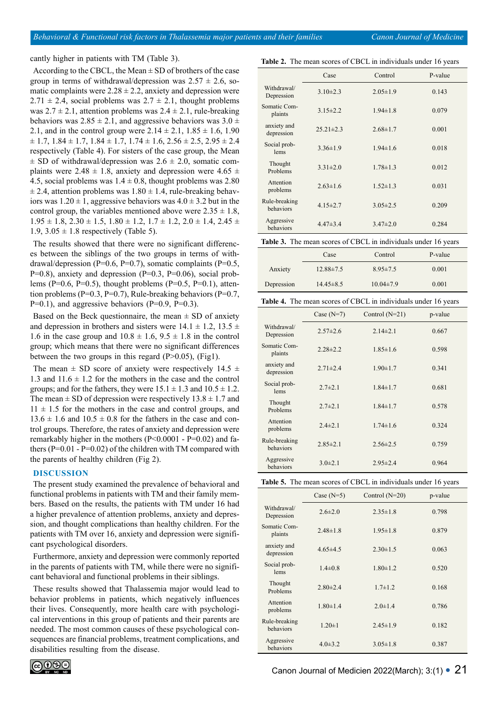cantly higher in patients with TM (Table 3).

According to the CBCL, the Mean  $\pm$  SD of brothers of the case group in terms of withdrawal/depression was  $2.57 \pm 2.6$ , somatic complaints were  $2.28 \pm 2.2$ , anxiety and depression were  $2.71 \pm 2.4$ , social problems was  $2.7 \pm 2.1$ , thought problems was  $2.7 \pm 2.1$ , attention problems was  $2.4 \pm 2.1$ , rule-breaking behaviors was  $2.85 \pm 2.1$ , and aggressive behaviors was  $3.0 \pm$ 2.1, and in the control group were  $2.14 \pm 2.1$ ,  $1.85 \pm 1.6$ , 1.90  $\pm$  1.7, 1.84  $\pm$  1.7, 1.84  $\pm$  1.7, 1.74  $\pm$  1.6, 2.56  $\pm$  2.5, 2.95  $\pm$  2.4 respectively (Table 4). For sisters of the case group, the Mean  $\pm$  SD of withdrawal/depression was 2.6  $\pm$  2.0, somatic complaints were 2.48  $\pm$  1.8, anxiety and depression were 4.65  $\pm$ 4.5, social problems was  $1.4 \pm 0.8$ , thought problems was 2.80  $\pm$  2.4, attention problems was 1.80  $\pm$  1.4, rule-breaking behaviors was  $1.20 \pm 1$ , aggressive behaviors was  $4.0 \pm 3.2$  but in the control group, the variables mentioned above were  $2.35 \pm 1.8$ ,  $1.95 \pm 1.8$ ,  $2.30 \pm 1.5$ ,  $1.80 \pm 1.2$ ,  $1.7 \pm 1.2$ ,  $2.0 \pm 1.4$ ,  $2.45 \pm 1.5$ 1.9,  $3.05 \pm 1.8$  respectively (Table 5).

The results showed that there were no significant differences between the siblings of the two groups in terms of withdrawal/depression (P=0.6, P=0.7), somatic complaints (P=0.5,  $P=0.8$ ), anxiety and depression ( $P=0.3$ ,  $P=0.06$ ), social problems (P=0.6, P=0.5), thought problems (P=0.5, P=0.1), attention problems ( $P=0.3$ ,  $P=0.7$ ), Rule-breaking behaviors ( $P=0.7$ ,  $P=0.1$ ), and aggressive behaviors ( $P=0.9$ ,  $P=0.3$ ).

Based on the Beck questionnaire, the mean  $\pm$  SD of anxiety and depression in brothers and sisters were  $14.1 \pm 1.2$ ,  $13.5 \pm 1.2$ 1.6 in the case group and  $10.8 \pm 1.6$ ,  $9.5 \pm 1.8$  in the control group; which means that there were no significant differences between the two groups in this regard  $(P>0.05)$ ,  $(Fig1)$ .

The mean  $\pm$  SD score of anxiety were respectively 14.5  $\pm$ 1.3 and  $11.6 \pm 1.2$  for the mothers in the case and the control groups; and for the fathers, they were  $15.1 \pm 1.3$  and  $10.5 \pm 1.2$ . The mean  $\pm$  SD of depression were respectively 13.8  $\pm$  1.7 and  $11 \pm 1.5$  for the mothers in the case and control groups, and  $13.6 \pm 1.6$  and  $10.5 \pm 0.8$  for the fathers in the case and control groups. Therefore, the rates of anxiety and depression were remarkably higher in the mothers (P<0.0001 - P=0.02) and fathers ( $P=0.01 - P=0.02$ ) of the children with TM compared with the parents of healthy children (Fig 2).

#### **DISCUSSION**

The present study examined the prevalence of behavioral and functional problems in patients with TM and their family members. Based on the results, the patients with TM under 16 had a higher prevalence of attention problems, anxiety and depression, and thought complications than healthy children. For the patients with TM over 16, anxiety and depression were significant psychological disorders.

Furthermore, anxiety and depression were commonly reported in the parents of patients with TM, while there were no significant behavioral and functional problems in their siblings.

These results showed that Thalassemia major would lead to behavior problems in patients, which negatively influences their lives. Consequently, more health care with psychological interventions in this group of patients and their parents are needed. The most common causes of these psychological consequences are financial problems, treatment complications, and disabilities resulting from the disease.



**Table 2.** The mean scores of CBCL in individuals under 16 years

|                            | Case            | Control        | P-value |
|----------------------------|-----------------|----------------|---------|
| Withdrawal/<br>Depression  | $3.10\pm2.3$    | $2.05 \pm 1.9$ | 0.143   |
| Somatic Com-<br>plaints    | $3.15 \pm 2.2$  | $1.94 \pm 1.8$ | 0.079   |
| anxiety and<br>depression  | $25.21 \pm 2.3$ | $2.68 \pm 1.7$ | 0.001   |
| Social prob-<br>lems       | $3.36\pm1.9$    | $1.94 \pm 1.6$ | 0.018   |
| Thought<br>Problems        | $3.31 \pm 2.0$  | $1.78 \pm 1.3$ | 0.012   |
| Attention<br>problems      | $2.63 \pm 1.6$  | $1.52 \pm 1.3$ | 0.031   |
| Rule-breaking<br>behaviors | $4.15 \pm 2.7$  | $3.05 \pm 2.5$ | 0.209   |
| Aggressive<br>behaviors    | $4.47 \pm 3.4$  | $3.47 \pm 2.0$ | 0.284   |

**Table 3.** The mean scores of CBCL in individuals under 16 years

|            | Case            | Control         | P-value |
|------------|-----------------|-----------------|---------|
| Anxiety    | $12.88 \pm 7.5$ | $8.95 \pm 7.5$  | 0.001   |
| Depression | $14.45 \pm 8.5$ | $10.04 \pm 7.9$ | 0.001   |

| <b>Table 4.</b> The mean scores of CBCL in individuals under 16 years |  |  |
|-----------------------------------------------------------------------|--|--|
|                                                                       |  |  |

|                            | Case $(N=7)$   | Control $(N=21)$ | p-value |
|----------------------------|----------------|------------------|---------|
| Withdrawal/<br>Depression  | $2.57 \pm 2.6$ | $2.14\pm2.1$     | 0.667   |
| Somatic Com-<br>plaints    | $2.28 \pm 2.2$ | $1.85 \pm 1.6$   | 0.598   |
| anxiety and<br>depression  | $2.71 \pm 2.4$ | $1.90 \pm 1.7$   | 0.341   |
| Social prob-<br>lems       | $2.7 \pm 2.1$  | $1.84 \pm 1.7$   | 0.681   |
| Thought<br>Problems        | $2.7 \pm 2.1$  | $1.84 \pm 1.7$   | 0.578   |
| Attention<br>problems      | $2.4 \pm 2.1$  | $1.74 \pm 1.6$   | 0.324   |
| Rule-breaking<br>behaviors | $2.85 \pm 2.1$ | $2.56 \pm 2.5$   | 0.759   |
| Aggressive<br>behaviors    | $3.0\pm2.1$    | $2.95 \pm 2.4$   | 0.964   |

**Table 5.** The mean scores of CBCL in individuals under 16 years

|                            | Case $(N=5)$   | Control $(N=20)$ | p-value |
|----------------------------|----------------|------------------|---------|
| Withdrawal/<br>Depression  | $2.6 \pm 2.0$  | $2.35 \pm 1.8$   | 0.798   |
| Somatic Com-<br>plaints    | $2.48 \pm 1.8$ | $1.95 \pm 1.8$   | 0.879   |
| anxiety and<br>depression  | $4.65 \pm 4.5$ | $2.30 \pm 1.5$   | 0.063   |
| Social prob-<br>lems       | $1.4 \pm 0.8$  | $1.80 \pm 1.2$   | 0.520   |
| Thought<br>Problems        | $2.80 \pm 2.4$ | $1.7 \pm 1.2$    | 0.168   |
| Attention<br>problems      | $1.80 \pm 1.4$ | $2.0 \pm 1.4$    | 0.786   |
| Rule-breaking<br>behaviors | $1.20 \pm 1$   | $2.45 \pm 1.9$   | 0.182   |
| Aggressive<br>behaviors    | $4.0 \pm 3.2$  | $3.05 \pm 1.8$   | 0.387   |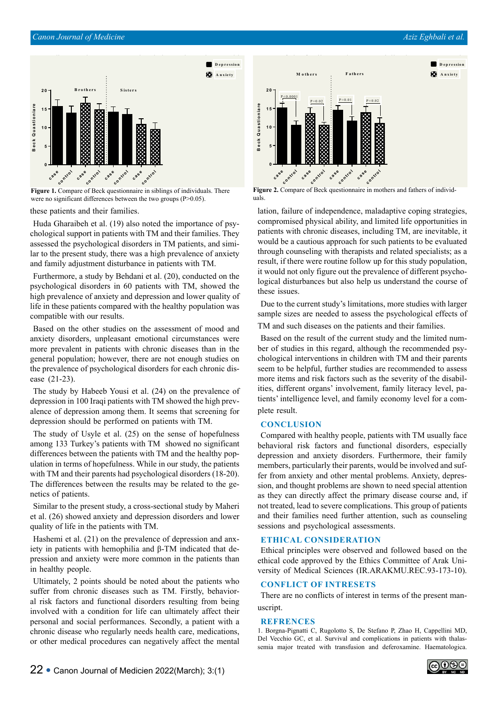## *[Canon Journal of Medicine](https://www.canonjm.com/) Aziz Eghbali et al.*



**Figure 1.** Compare of Beck questionnaire in siblings of individuals. There were no significant differences between the two groups (P>0.05).

these patients and their families.

Huda Gharaibeh et al. (19) also noted the importance of psychological support in patients with TM and their families. They assessed the psychological disorders in TM patients, and similar to the present study, there was a high prevalence of anxiety and family adjustment disturbance in patients with TM.

Furthermore, a study by Behdani et al. (20), conducted on the psychological disorders in 60 patients with TM, showed the high prevalence of anxiety and depression and lower quality of life in these patients compared with the healthy population was compatible with our results.

Based on the other studies on the assessment of mood and anxiety disorders, unpleasant emotional circumstances were more prevalent in patients with chronic diseases than in the general population; however, there are not enough studies on the prevalence of psychological disorders for each chronic disease (21-23).

The study by Habeeb Yousi et al. (24) on the prevalence of depression in 100 Iraqi patients with TM showed the high prevalence of depression among them. It seems that screening for depression should be performed on patients with TM.

The study of Usyle et al. (25) on the sense of hopefulness among 133 Turkey's patients with TM showed no significant differences between the patients with TM and the healthy population in terms of hopefulness. While in our study, the patients with TM and their parents had psychological disorders (18-20). The differences between the results may be related to the genetics of patients.

Similar to the present study, a cross-sectional study by Maheri et al. (26) showed anxiety and depression disorders and lower quality of life in the patients with TM.

Hashemi et al. (21) on the prevalence of depression and anxiety in patients with hemophilia and β-TM indicated that depression and anxiety were more common in the patients than in healthy people.

Ultimately, 2 points should be noted about the patients who suffer from chronic diseases such as TM. Firstly, behavioral risk factors and functional disorders resulting from being involved with a condition for life can ultimately affect their personal and social performances. Secondly, a patient with a chronic disease who regularly needs health care, medications, or other medical procedures can negatively affect the mental



**Figure 2.** Compare of Beck questionnaire in mothers and fathers of individuals.

lation, failure of independence, maladaptive coping strategies, compromised physical ability, and limited life opportunities in patients with chronic diseases, including TM, are inevitable, it would be a cautious approach for such patients to be evaluated through counseling with therapists and related specialists; as a result, if there were routine follow up for this study population, it would not only figure out the prevalence of different psychological disturbances but also help us understand the course of these issues.

Due to the current study's limitations, more studies with larger sample sizes are needed to assess the psychological effects of TM and such diseases on the patients and their families.

Based on the result of the current study and the limited number of studies in this regard, although the recommended psychological interventions in children with TM and their parents seem to be helpful, further studies are recommended to assess more items and risk factors such as the severity of the disabilities, different organs' involvement, family literacy level, patients' intelligence level, and family economy level for a complete result.

# **CONCLUSION**

Compared with healthy people, patients with TM usually face behavioral risk factors and functional disorders, especially depression and anxiety disorders. Furthermore, their family members, particularly their parents, would be involved and suffer from anxiety and other mental problems. Anxiety, depression, and thought problems are shown to need special attention as they can directly affect the primary disease course and, if not treated, lead to severe complications. This group of patients and their families need further attention, such as counseling sessions and psychological assessments.

## **ETHICAL CONSIDERATION**

Ethical principles were observed and followed based on the ethical code approved by the Ethics Committee of Arak University of Medical Sciences (IR.ARAKMU.REC.93-173-10).

# **CONFLICT OF INTRESETS**

There are no conflicts of interest in terms of the present manuscript.

#### **REFRENCES**

1. Borgna-Pignatti C, Rugolotto S, De Stefano P, Zhao H, Cappellini MD, Del Vecchio GC, et al. Survival and complications in patients with thalassemia major treated with transfusion and deferoxamine. Haematologica.